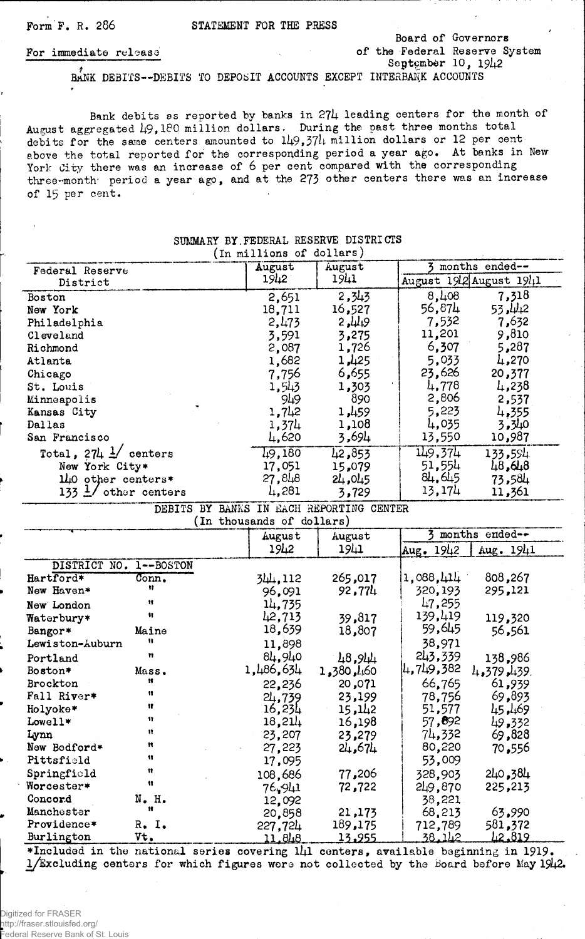Form F. R. 286 STATEMENT FOR THE PRESS

#### Board of Governors For immediate release of the Federal Reserve System ; September 10, *I9l\2*

BANK DEBITS— DEBITS TO DEPOSIT ACCOUNTS EXCEPT INTERBANK ACCOUNTS

Bank debits as reported by banks in 274 leading centers for the month of August aggregated 49,180 million dollars. During the past three months total debits for the same centers amounted to 149,374 million dollars or 12 per cent above the total reported for the corresponding period a year ago. At banks in New York City there was an increase of 6 per cent compared with the corresponding three-month' period a year ago, and at the 273 other centers there was an increase of 15 per cent.

| Federal Reserve                  | August                    | August                                   | months ended--<br>3     |  |
|----------------------------------|---------------------------|------------------------------------------|-------------------------|--|
| District                         | 1942                      | 1941                                     | August 1912 August 1941 |  |
| Boston                           | 2,651                     | 2,343                                    | 8,408<br>7,318          |  |
| New York                         | 18,711                    | 16,527                                   | 56,874<br>53,442        |  |
| Philadelphia                     | 2,473                     | 2,449                                    | 7,632<br>7,532          |  |
| Cleveland                        | 3,591                     | 3,275                                    | 11,201<br>9,810         |  |
| Richmond                         | 2,087                     | 1,726                                    | 5,287<br>6,307          |  |
|                                  |                           | 1,425                                    | 5,033<br>4,270          |  |
| Atlanta                          | 1,682                     |                                          |                         |  |
| Chicago                          | 7,756                     | 6,655                                    | 23,626<br>20,377        |  |
| St. Louis                        | 1,543                     | 1,303                                    | 4,778<br>4,238          |  |
| Minneapolis                      | 949                       | 890                                      | 2,806<br>2,537          |  |
| Kansas City                      | 1,742                     | 1,459                                    | 5,223<br>4,355          |  |
| Dallas                           | 1,374                     | 1,108                                    | 4,035<br>3,340          |  |
| San Francisco                    | 4,620                     | 3,694                                    | 13,550<br>10,987        |  |
| Total, $274 \frac{1}{2}$ centers | 1.9,180                   | 42,853                                   | 149,374<br>133,594      |  |
| New York City*                   | 17,051                    | 15,079                                   | 51,554<br>48,648        |  |
| $1\mu$ 0 other centers*          | 27,848                    | 24,045                                   | 84,645<br>73,584        |  |
| 133 $\frac{1}{2}$ other centers  | 4,281                     | 3,729                                    | 13,174<br>11,361        |  |
|                                  |                           | DEBITS BY BANKS IN EACH REPORTING CENTER |                         |  |
|                                  | (In thousands of dollars) |                                          |                         |  |
|                                  |                           |                                          | months ended--          |  |
|                                  | August                    | August                                   |                         |  |
|                                  | 1942                      | 1941                                     | Aug. 1942<br>Aug. 1941  |  |
| $1 - BOSTON$<br>DISTRICT NO.     |                           |                                          |                         |  |
| Hartford*<br>Conn.               | 344,112                   | 265,017                                  | 1,088, 414<br>808,267   |  |
| Ħ<br>New Haven*                  | 96,091                    | 92,774                                   | 320,193<br>295,121      |  |
| Ħ<br>New London                  | 14,735                    |                                          | 47,255                  |  |
| Ħ<br>Waterbury*                  | 42,713                    | 39,817                                   | 139,419<br>119,320      |  |
|                                  |                           |                                          |                         |  |
|                                  |                           |                                          | 59,645                  |  |
| Maine<br>Bangor*<br>Ħ            | 18,639                    | 18,807                                   | 56,561                  |  |
| Lewiston-Auburn<br>Ħ             | 11,898                    |                                          | 38,971                  |  |
| Portland                         | 84,940                    | 48,944                                   | 243,339<br>138,986      |  |
| Boston*<br>Mass.<br>11           | 1,486,634                 | 1,380,460                                | 4,749,382<br>4,379,439. |  |
| Brockton<br>11                   | 22,236                    | 20,071                                   | 66,765<br>61,939        |  |
| Fall River*                      | 24,739                    | 23,199                                   | 69,893<br>78,756        |  |
| Ħ<br>Holyoke*                    | 16,234                    | 15,142                                   | 51,577<br>45,469        |  |
| Ħ<br>Lowell*                     | 18,21/4                   | 16,198                                   | 57,892<br>49,332        |  |
| Lynn                             | 23,207                    | 23,279                                   | 74,332<br>69,828        |  |
| n<br>New Bedford*                | 27,223                    | 24,674                                   | 80,220<br>556ء 70       |  |
| Ħ<br>Pittsfield                  | 17,095                    |                                          | 53,009                  |  |
| Ħ<br>Springfield                 | 108,686                   | 77,206                                   | 240,384<br>328,903      |  |
| Ħ<br>Worcester*                  | 76,941                    | 72,722                                   | 249,870<br>225,213      |  |
| N. H.<br>Concord                 |                           |                                          | 38,221                  |  |
| Ħ<br>Manchester                  | 12,092                    | 21,173                                   | 63,990<br>68,213        |  |
| Providence*<br>R. I.             | 20,858<br>227,724         | 189,175                                  | 581,372<br>712,789      |  |

SUMMARY BY.FEDERAL RESERVE DISTRICTS (In millions of dollars)

\*Included in the national series covering  $1/1$  centers, available beginning in  $1919$ .  $1/Ex$ cluding centers for which figures were not collected by the Board before May 1942.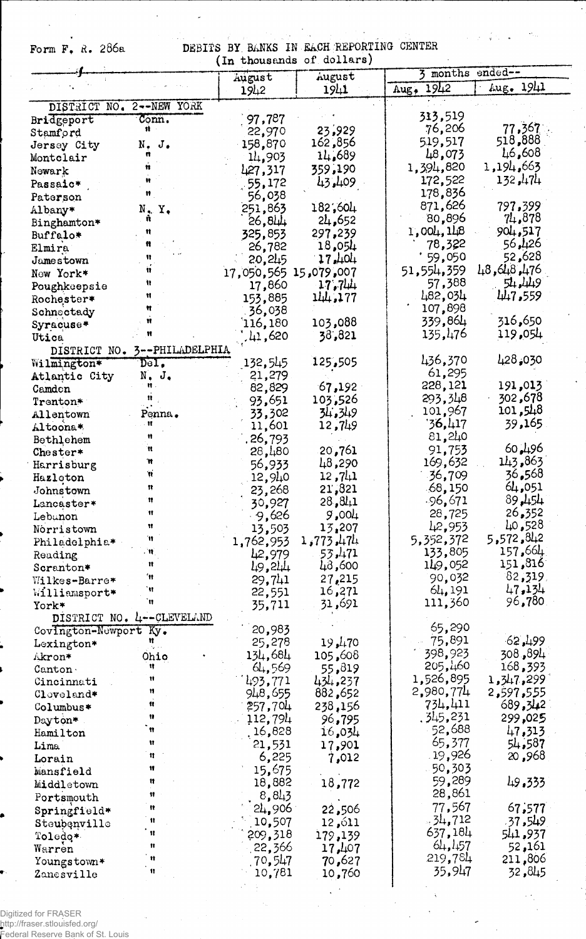$\ddot{\phantom{1}}$ Form  $F$ ,  $R$ . 286a

÷, DEBITS BY BANKS IN EACH REPORTING CENTER<br>(In thousands of dollars)  $\mathcal{F}=\frac{1}{2}\mathcal{F}$  .

|                         |                             | (ID enousances or approve) |                     | 3 months ended--     |                  |
|-------------------------|-----------------------------|----------------------------|---------------------|----------------------|------------------|
|                         |                             | August                     | August<br>1941      | 1942<br>Aug.         | Lug. 1941        |
|                         |                             | 1942                       |                     |                      |                  |
| DISTRICT NO.            | 2--NEW YORK                 |                            |                     | 313,519              |                  |
| Bridgeport              | Conn.<br>$\mathbf{u}$       | 97,787                     |                     | 76,206               | 77,367           |
| Stamford                |                             | 22,970                     | 23,929<br>162,856   | 519,517              | 518,888          |
| Jersey City             | N.<br>J.                    | 158,870                    | 14,689              | 48,073               | 46,608           |
| Montclair               |                             | 14,903                     | 359,190             | 1,394,820            | 1,194,663        |
| Newark                  |                             | 427,317                    | 43,409              | 172,522              | 132,474          |
| Passaic*                |                             | 55,172                     |                     | 178,836              |                  |
| Paterson                | N.Y.                        | 56,038<br>251,863          | 182,604             | 871,626              | 797,399          |
| Albany*                 | n                           | 26,811                     | 24,652              | 80,896               | 74,878           |
| Binghamton*<br>Buffalo* |                             | 325,853                    | 297,239             | 1,004,148            | 904,517          |
| Elmira                  |                             | 26,782                     | 18,054              | 78,322               | 56,426           |
| Jamestown               |                             | 20,245                     | 17,404              | 59,050               | 52,628           |
| New York*               |                             | 17,050,565 15,079,007      |                     | 51,554,359           | 476, 448, 448    |
| Poughkeepsie            |                             | 17,860                     | 17,744              | 57,388               | 54,449           |
| Rochester*              |                             | 153,885                    | 144.177             | 482,034              | 447,559          |
| Schneetady              |                             | 36,038                     |                     | 107,898              |                  |
| Syracuse*               |                             | 116,180                    | 103,088             | 339,864              | 316,650          |
| Utica                   |                             | 41,620                     | 38,821              | 135,476              | 119,054          |
| DISTRICT NO.            | 3--PHILADELPHIA             |                            |                     |                      |                  |
| Wilmington*             | Del.                        | 132,545                    | 125,505             | 436,370              | 428,030          |
| Atlantic City           | $N$ . $J$ .                 | 21,279                     |                     | 61,295               |                  |
| Camden                  |                             | 82,829                     | 67,192              | 228,121              | 191,013          |
| Trenton*                |                             | 93,651                     | 103,526             | 293,348              | 302,678          |
| Allentown               | Penna .                     | 33,302                     | 34.349              | 101,967              | 101,548          |
| Altoona*                |                             | 11,601                     | 12,749              | '3 <b>6,</b> 417     | 39,165           |
| Bethlehem               |                             | . 26,793                   |                     | 81,240               |                  |
| Chester*                | ĸ                           | 28,480                     | 20,761              | 91,753               | 60.496           |
| Harrisburg              | 'n                          | 56,933                     | 48,290              | 169,632              | 143,863          |
| Hazleton                | Ħ                           | 12,940                     | 12,741              | 36,709               | 36.568<br>64,051 |
| Johnstown               | n<br>n                      | 23,268                     | 21,821              | .68,150              | 89,454           |
| Lancaster*              | Ħ                           | 30,927                     | 28,811              | -96,671              | 26,352           |
| Lebunon                 | Ħ                           | 9,626                      | 9,004               | 28,725<br>42,953     | 40,528           |
| Norristown              | Ħ                           | 13,503                     | 13,207              |                      | 5,572,842        |
| Philadelphia*           | ™.                          | 1,762,953                  | 1,773,474<br>53,471 | 5,352,372<br>133,805 | 157,664          |
| Reading                 | Ħ                           | 42,979                     | 43,600              | 149,052              | 151,816          |
| Scranton*               | 'n                          | 49,244                     | 27,215              | 90,032               | $82,319$ ,       |
| Wilkes-Barre*           | Ħ                           | 29,741<br>22,551           | 16,271              | 64,191               | 47,134           |
| Williamsport*<br>York*  | 'n                          | 35,711                     | 31,691              | 111,360              | 96,780.          |
|                         | DISTRICT NO. 4 -- CLEVELAND |                            |                     |                      |                  |
| Covington-Newport Ky.   |                             | 20,983                     |                     | 65,290               |                  |
| Lexington*              |                             | 25,278                     | 19,470              | 75,891               | 62,499           |
| Akron*                  | Ohio                        | 134,684                    | 105,608             | 398,923              | 308,894          |
| Canton                  | Ħ                           | 64,569                     | 55,819              | 205,460              | 168,393          |
| Cincinnati              | Ħ                           | 493,771                    | 434,237             | 1,526,895            | 1,347,299        |
| Cloveland*              | n                           | 948,655                    | 882,652             | 2,980,774            | 2,597,555        |
| Columbus*               | u                           | 257,704                    | 238,156             | 734,411              | 689,342          |
| Dayton*                 | 11                          | 112,794                    | 96,795              | . 345,231            | 299,025          |
| Hamilton                | Ħ                           | 16,828                     | 16,034              | 52,688               | 47,313           |
| Lima                    | Ħ                           | 21,531                     | 17,901              | 65,377               | 54,587           |
| Lorain                  | 11                          | 6,225                      | 7,012               | 19,926               | 20,968           |
| Mansfield               | Ħ                           | 15,675                     |                     | 50,303               |                  |
| Middletown              | Ħ                           | 18,882                     | 18,772              | 59,289               | 49.333           |
| Portsmouth              | 11                          | 8,843                      |                     | 28,861               |                  |
| ${\tt Springfield*}$    | 11                          | 24,906                     | 22,506              | 77,567               | 67,577           |
| Steubenville            | 11                          | 10,507                     | 12,611              | $-31,712$            | 37,549           |
| Toledo*                 | $\mathbf{u}$                | 209,318                    | 179,139             | 637,184              | 541,937          |
| Warren                  | Ħ                           | 22,366                     | 17,407              | 64,157               | ,161 <b>,</b> 52 |
| Youngstown*             | Ħ                           | 70,547                     | 70,627              | 219,784              | 211,806          |
| Zanesville              | $\mathbf{H}$                | 10,781                     | 10,760              | 35,947               | 32,845           |
|                         |                             |                            |                     |                      |                  |

 $\frac{1}{2}$ 

Digitized for FRASER<br>http://fraser.stlouisfed.org/<br>Federal Reserve Bank of St. Louis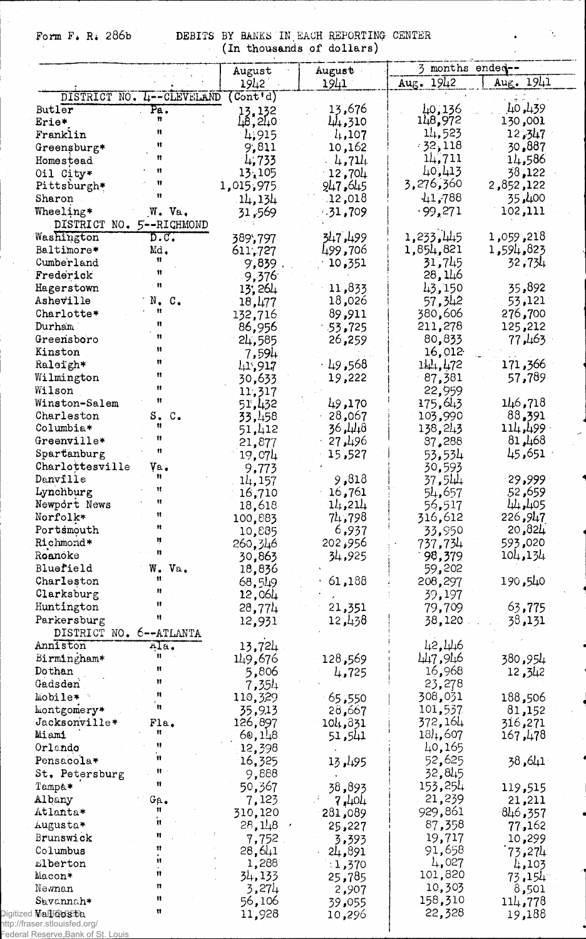Form F. R. 286b DEBITS BY BANKS IN EACH REPORTING CENTER (In thousands of dollars)

 $\Delta_{\rm g}$ 

 $\ddot{\phantom{0}}$ 

|                                        |                                          | August                                               | August           | 3 months ended-- |                   |
|----------------------------------------|------------------------------------------|------------------------------------------------------|------------------|------------------|-------------------|
|                                        |                                          | 1942                                                 | 1941             | Aug. 1942        | Aug. 1941         |
|                                        | DISTRICT NO. 4--CLEVELAND                | $(\overline{\mathtt{Cont}\,{}^{\bullet}\mathrm{d}})$ |                  |                  |                   |
| Butler                                 | Pa.                                      | $13, 132$<br>$18, 210$                               | 13,676           | 40,136           | 40,439            |
| Erie*                                  | n                                        |                                                      | 44,310           | 148,972          | 130,001           |
| Franklin                               | 11                                       | 4,915                                                | $l_{1}, 107$     | 14,523           | 12,347            |
| Greensburg*                            | Ħ                                        | 9,811                                                | 10,162           | $-32,118$        | 30,887            |
| Homestead                              | Ħ                                        | 4,733                                                | 4,711            | 14,711           | 14,586            |
| Oil City*                              | n                                        | 13,105                                               | 12,704           | 40,413           | 38,122            |
| Pittsburgh*                            |                                          | 1,015,975                                            | 947.645          | 3,276,360        | 2,852,122         |
| Sharon                                 |                                          | 14,134                                               | .12,018          | 41,788           | 35,400            |
| Wheeling*<br>DISTRICT NO. 5--RICHMOND  | W. Va.                                   | 31,569                                               | $-31,709$        | .99,271          | 102,111           |
| Washington                             | $\overline{\mathtt{D}.\mathtt{C}}$ .     | 389,797                                              | 347,499          | 1,233,445        | 1,059,218         |
| Baltimore*                             | Md.                                      | 611,727                                              | 499,706          | 1,854,821        | 1,594,823         |
| Cumberland                             | 11                                       | 9,839.                                               | 10,351           | 31,745           | 32,734            |
| Frederick                              | Ħ                                        | 9,376                                                |                  | 28,146           |                   |
| Hagerstown                             | Ħ                                        | 13,264                                               | 11,833           | 43,150           | 35,892            |
| Asheville                              | $\texttt{N}_\bullet$<br>$\mathfrak{c}$ . | 18,477                                               | 18,026           | 57,342           | 53,121            |
| Charlotte*                             | Ħ                                        | 132,716                                              | 89,911           | 380,606          | 276,700           |
| Durham                                 | n                                        | 86,956                                               | $-53,725$        | 211,278          | 125,212           |
| Greensboro                             | Ħ                                        | 24,585                                               | 26,259           | 80,833           | 77,463            |
| Kinston                                | 11                                       | 7,594                                                |                  | 16,012           |                   |
| Raleigh*                               | Ħ                                        | 41,917                                               | 49,568           | 144,472          | 171,366           |
| Wilmington                             | Ħ                                        | 30,633                                               | 19,222           | 87,381           | 57,789            |
| Wilson                                 | Ħ                                        | 11,317                                               |                  | 22,959           |                   |
| Winston-Salem                          | Ħ                                        | 51,432                                               | 49,170           | 175,643          | 146,718           |
| Charleston                             | S.<br>$\mathbb{C}$ .                     | 33,458                                               | 28,067           | 103,990          | 88,391            |
| Columbia*                              | Ħ                                        | 51,412                                               | 444ء 36          | 138,243          | - 499, 114        |
| Greenville*                            | Ħ                                        | 21,877                                               | 27,496           | 87,288           | 81,468            |
| Spartanburg                            | 11                                       | 19,074                                               | 15,527           | 53,534           | ≅651 <b>,</b> 45  |
| Charlottesville                        | Va.                                      | 9,773                                                |                  | 30,593           |                   |
| Danville                               | n<br>Ħ                                   | 14,157                                               | 9,818            | 37,544           | 29,999            |
| Lynchburg                              | 11                                       | 16,710                                               | 16,761           | 54,657           | 52,659            |
| Newport News                           | Ħ                                        | 18,618                                               | 11,211           | 56,517           | 44,405            |
| Norfolk*                               | Ħ                                        | 100,883                                              | 71.798           | 316,612          | 226 <b>,</b> 947  |
| Portsmouth                             | Ħ                                        | 10,885                                               | 6,937            | 33,950           | 20,821            |
| Richmond*                              | 13                                       | 260,346                                              | 202,956          | 737 <b>,</b> 734 | 593,020           |
| Roanoke                                |                                          | 30,863                                               | 34,925           | 98,379           | 104, 134          |
| Bluefield                              | W.<br>Va.<br>Ħ                           | 18,836                                               |                  | 59,202           |                   |
| Charleston                             | n                                        | 68,549                                               | 61,188           | 208,297          | 190,540           |
| Clarksburg                             | 11                                       | 12,064                                               |                  | 39,197           |                   |
| Huntington                             | Ħ                                        | 28,774                                               | 21,351           | 79,709           | 63,775            |
| Parkersburg<br>DISTRICT NO. 6--ATLANTA |                                          | 12,931                                               | 12,438           | 38,120           | 38,131            |
| Anniston                               | Ala.                                     | 13,724                                               |                  | 42,446           |                   |
| Birmingham*                            | Ħ                                        | 149,676                                              | 128,569          | 447,946          | 380,954           |
| Dothan                                 | Ħ                                        | 5,806                                                |                  | 16,968           | 12,342            |
| Gadsden                                | Ħ                                        | 7,354                                                | 4,725            | 23,278           |                   |
| Mobile*                                | Ħ                                        | 110,329                                              |                  | 308,031          | 188,506           |
| Montgomery*                            | n                                        | 35,913                                               | 65,550<br>28,667 | 101,537          | 81,152            |
| Jacksonville*                          | Fla.                                     | 126,897                                              | 104,831          | 372,164          | 316,271           |
| Miami                                  | 11                                       | 60,148                                               | 51,541           | 181,607          | 167,478           |
| Orlando                                | 11                                       | 12,398                                               |                  | 40,165           |                   |
| Pensacola*                             | 11                                       | 16,325                                               |                  | 52,625           | 41, 38            |
| St. Petersburg                         | 'n.                                      | 9,888                                                | 13,195           | 32,845           |                   |
| Tampa*                                 | Ħ                                        | 50,367                                               | 38,893           | 153,254          |                   |
| Albany                                 | Ga.                                      | 7,123                                                |                  | 21,239           | 119,515           |
| Atlanta*                               | Ħ                                        | 310,120                                              | 7,404            | 929,861          | 21,211<br>846,357 |
|                                        | Ħ                                        |                                                      | 281,089          | 87,358           |                   |
| Augusta*<br>Brunswick                  | Ħ                                        | 28,148                                               | 25,227           |                  | 77,162            |
| Columbus                               | Ħ                                        | 7,752                                                | 3,393            | 19,717<br>91,658 | 10,299            |
| Elberton                               | Ħ                                        | 28,641                                               | 24,891           | 4,027            | 73,274            |
| Macon*                                 | Ħ                                        | 1,288<br>34,133                                      | 1,370            | 101,820          | 4,103             |
| Newnan                                 | 11                                       | 3,274                                                | 25,785           | 10,303           | 73,154            |
| Savannah*                              | n                                        | 56,106                                               | 2,907            | 158,310          | 8,501             |
| Digitized Mall Richts Ba.              | Ħ                                        | 11,928                                               | 39,055           | 22,328           | 114,778           |
|                                        |                                          |                                                      | 10,296           |                  | 19,188            |

http://fraser.stlouisfed.org/ Federal Reserve Bank of St. Louis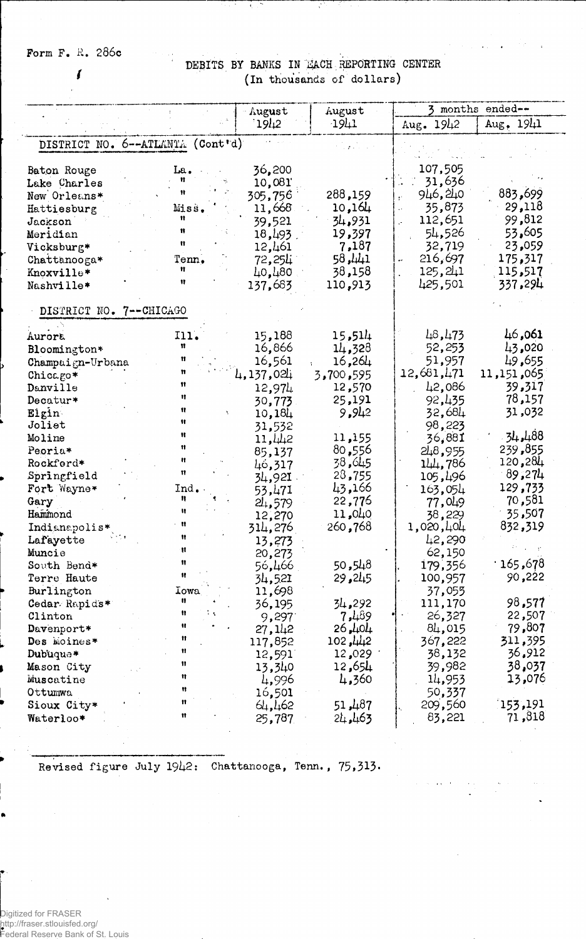Form F. R. 286c

 $\overline{I}$ 

### DEBITS BY BANKS IN MACH REPORTING CENTER (In thousands of dollars)

| August                                                                                                                                                                                                                                                                                                                                                                                                                                                                                               |                                                                                                                                                                                                                                                                      | August                                                                                                                                                                                                                      | 3 months<br>ended--                                                                                                                                                                                                                                                             |                                                                                                                                                                                                                                       |  |
|------------------------------------------------------------------------------------------------------------------------------------------------------------------------------------------------------------------------------------------------------------------------------------------------------------------------------------------------------------------------------------------------------------------------------------------------------------------------------------------------------|----------------------------------------------------------------------------------------------------------------------------------------------------------------------------------------------------------------------------------------------------------------------|-----------------------------------------------------------------------------------------------------------------------------------------------------------------------------------------------------------------------------|---------------------------------------------------------------------------------------------------------------------------------------------------------------------------------------------------------------------------------------------------------------------------------|---------------------------------------------------------------------------------------------------------------------------------------------------------------------------------------------------------------------------------------|--|
|                                                                                                                                                                                                                                                                                                                                                                                                                                                                                                      | 1912                                                                                                                                                                                                                                                                 | 1911                                                                                                                                                                                                                        | Aug. 1942                                                                                                                                                                                                                                                                       | Aug, 1941                                                                                                                                                                                                                             |  |
| DISTRICT NO. 6--ATLANTA (Cont'd)                                                                                                                                                                                                                                                                                                                                                                                                                                                                     |                                                                                                                                                                                                                                                                      |                                                                                                                                                                                                                             |                                                                                                                                                                                                                                                                                 |                                                                                                                                                                                                                                       |  |
| Baton Rouge<br>La.<br>Lake Charles<br>New Orleans*<br>Miss.<br>Hattiesburg<br>11<br>Jackson<br>11<br>Meridian<br>$\mathbf{u}$<br>Vicksburg*<br>Chattanooga*<br>Tenn.<br>Ħ<br>Knoxville*<br>11<br>Nashville*                                                                                                                                                                                                                                                                                          | 36,200<br>10,081<br>305,756<br>11,668<br>39,521<br>18,493<br>12,461<br>72 <b>,</b> 254<br>40,480<br>137,683                                                                                                                                                          | 288,159<br>10,164<br>34,931<br>19,397<br>7,187<br>1441, 58<br>38,158<br>110,913                                                                                                                                             | 107,505<br>31,636<br>946,240<br>£.<br>35,873<br>ä,<br>112,651<br>54,526<br>32,719<br>216,697<br>$\ddot{\phantom{1}}$<br>125,241<br>425,501                                                                                                                                      | 883,699<br>29,118<br>99,812<br>53,605<br>23,059<br>175,317<br>115,517<br>337,294                                                                                                                                                      |  |
| DISTRICT NO. 7--CHICAGO                                                                                                                                                                                                                                                                                                                                                                                                                                                                              |                                                                                                                                                                                                                                                                      |                                                                                                                                                                                                                             |                                                                                                                                                                                                                                                                                 |                                                                                                                                                                                                                                       |  |
| I11.<br>Aurora<br>Ħ<br>Bloomington*<br>Ħ<br>Champaign-Urbana<br>Chicago*<br>Ħ<br>Danville<br>Ħ<br>Decatur*<br>Ħ<br>Elgin<br>Ħ<br>Joliet<br>Ħ<br>Moline<br>$\mathbf{H}$<br>Peoria*<br>Ħ<br>Rockford*<br>Ħ<br>Springfield<br>Ind.<br>Fort Wayne*<br>n<br>Gary<br>Ħ<br>Hammond<br>$\mathbf{u}$<br>Indianapolis*<br>Ħ<br>Lafayette<br>Ħ<br>Muncie<br>n<br>South Bend*<br>Terre Haute<br>Burlington<br>Iowa<br>n<br>Cedar Rapids*<br>Ħ<br>Clinton<br>Ħ<br>Davenport*<br>Ħ<br>Des Moines*<br>Ħ<br>Dubuque* | 15,188<br>16,866<br>16,561<br>4,137,024<br>12,974<br>30,773<br>10,184<br>31,532<br>11,442<br>85,137<br>46,317<br>34,92I<br>53,471<br>24,579<br>12,270<br>314,276<br>13,273<br>20,273<br>56,466<br>34,521<br>11,698<br>36,195<br>9,297<br>27,142<br>117,852<br>12,591 | 15,514<br>14,328<br>16,264<br>3,700,595<br>12,570<br>25,191<br>9,942<br>11,155<br>80,556<br>38,645<br>28,755<br>43,166<br>22,776<br>11,040<br>260,768<br>50,548<br>29,245<br>34,292<br>7,489<br>26,404<br>102,442<br>12,029 | 48,473<br>52,253<br>51,957<br>12,681,471<br>42,086<br>92,435<br>32,684<br>98,223<br>36,881<br>248,955<br>144,786<br>105,496<br>163,054<br>77,049<br>38,229<br>1,020,404<br>42,290<br>62,150<br>179,356<br>100,957<br>37,055<br>111,170<br>26,327<br>84,015<br>367,222<br>38,132 | 46,061<br>43,020<br>49,655<br>11,151,065<br>39,317<br>78,157<br>31,032<br>34,488<br>239,855<br>120,284<br>89,274<br>129,733<br>70,581<br>35,507<br>832,319<br>678, 165 ·<br>90,222<br>98,577<br>22,507<br>79,807<br>311,395<br>36,912 |  |
| Ħ<br>Mason City<br>n<br>Muscatine<br>11<br>Ottumwa<br>Ħ<br>Sioux City*<br>Ħ<br>Waterloo*                                                                                                                                                                                                                                                                                                                                                                                                             | 13,340<br>4,996<br>16,501<br>64, 462<br>25,787                                                                                                                                                                                                                       | 12,654<br>4,360<br>51,487<br>21.463                                                                                                                                                                                         | 39,982<br>14,953<br>50,337<br>209,560<br>83,221                                                                                                                                                                                                                                 | 38,037<br>13,076<br>153,191<br>71,818                                                                                                                                                                                                 |  |

Revised figure July 1942: Chattanooga, Tenn., 75,313.

Digitized for FRASER http://fraser.stlouisfed.org/<br>http://fraser.stlouisfed.org/<br>Federal Reserve Bank of St. Louis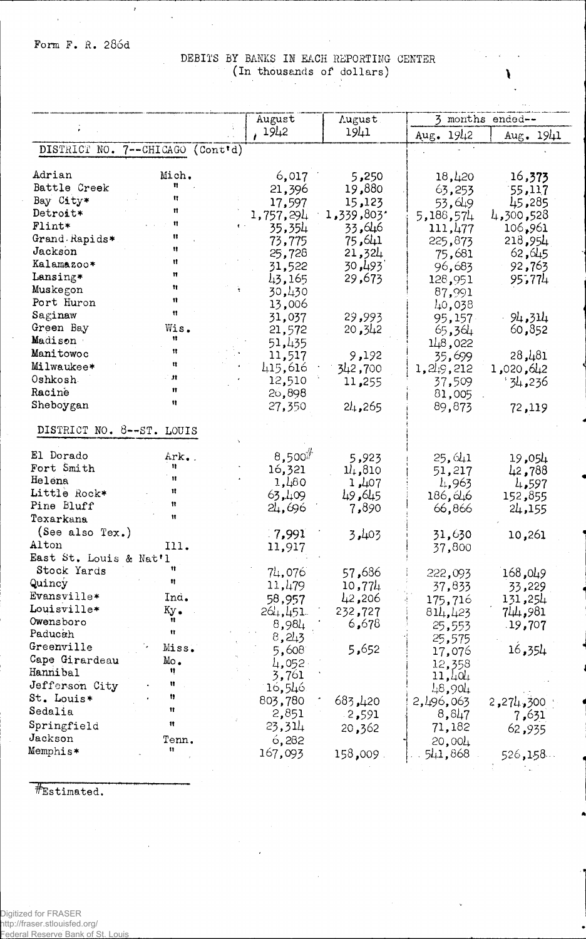Form F. R. 286d

DEBITS BY BANKS IN EACH REPORTING CENTER (In thousands of dollars)  $\sim$ 

|                           |                     |          | August      | <b>Lugust</b>   |                     | 3 months ended-- |
|---------------------------|---------------------|----------|-------------|-----------------|---------------------|------------------|
|                           |                     |          | 1942        | 1941            | Aug. 1942           | Aug. 1941        |
| DISTRICT NO. 7--CHICAGO   |                     | (Conttd) |             |                 |                     |                  |
| Adrian                    | Mich.               |          | 6,017       | 5,250           | 18,420              |                  |
| Battle Creek              | Ħ                   |          | 21,396      | 19,880          |                     | 16,373           |
| Bay City*                 | n                   |          | 17,597      | 15,123          | 63,253              | 55,117<br>45,285 |
| Detroit*                  | Ħ                   |          | 1,757,294   | 1,339,803*      | 53,649<br>5,188,574 | 4,300,528        |
| Flint*                    | Ħ                   |          | 35,354      | 33,646          | 111,477             | 106,961          |
| Grand Rapids*             | Ħ                   |          | 73,775      | 75,641          | 225,873             | 218,954          |
| Jackson                   | Ħ                   |          | 25,728      | 21,324          | 75,681              | 62,645           |
| Kalamazoo*                | Ħ                   |          | 31,522      | 30 <b>,4</b> 93 | 96,683              | 92,763           |
| Lansing*                  | n                   |          | 43,165      | 29,673          | 128,951             | 95,774           |
| Muskegon                  | Ħ                   |          | 30,430      |                 | 87,991              |                  |
| Port Huron                | Ħ                   |          | 13,006      |                 | 40,038              |                  |
| Saginaw                   | 11                  |          | 31,037      | 29,993          | 95,157              | 94,314           |
| Green Bay                 | Wis.                |          | 21,572      | 20,342          | 65,364              | 60,852           |
| Madison                   | 11                  |          | 51,435      |                 | 148,022             |                  |
| Manitowoc                 | 11                  |          | 11,517      | 9,192           | 35,699              | 28,481           |
| Milwaukee*                | n                   |          | 415,616     | 342,700         | 1, 249, 212         | 1,020,642        |
| Oshkosh.                  | $\mathbf{H}$        |          | 12,510      | 11,255          | 37,509              | 236ء4 '          |
| Racine                    | n                   |          | 26,898      |                 | 81,005              |                  |
| Sheboygan                 | Ħ                   |          | 27,350      | 24,265          | 89,873              | 72,119           |
| DISTRICT NO. 8--ST. LOUIS |                     |          |             |                 |                     |                  |
| El Dorado                 | Ark.                |          | $8,500^{#}$ | 5,923           | 25,641              | 19,054           |
| Fort Smith                | n                   |          | 16,321      | 11,810          | 51,217              | 42,788           |
| Helena                    | Ħ                   |          | 1,480       | 1,407           | 4,963               | 4,597            |
| Little Rock*              | Ħ                   |          | 63, 409     | 49,645          | 186,646             | 152,855          |
| Pine Bluff                | Ħ                   |          | 24,696      | 7,890           | 66,866              | 24,155           |
| Texarkana                 | Ħ                   |          |             |                 |                     |                  |
| (See also Tex.)           |                     |          | 7,991       | 3,403           | 31,630              | 10,261           |
| Alton                     | I11.                |          | 11,917      |                 | 37,800              |                  |
| East St. Louis & Nat'l    |                     |          |             |                 |                     |                  |
| Stock Yards               | n                   |          | 74,076      | 57,686          | 222,093             | 168,049          |
| Quincy                    | Ħ                   |          | 11,479      | 10,774          | 37,833              | 33,229           |
| $Evansville*$             | Ind.                |          | 58,957      | 42,206          | 175,716             | 131,254          |
| Louisville*               | $K_{\rm V}$ .       |          | 264,451     | 232,727         | 814,423             | 744,981          |
| Owensboro                 |                     |          | 8,984       | 6,678           | 25,553              | .19,707          |
| Paducah                   | $\mathbf{H}$        |          | 8,213       |                 | 25,575              |                  |
| Greenville                | Miss.               |          | 5,608       | 5,652           | 17,076              | 16,354           |
| Cape Girardeau            | $Mo_{\bullet}$<br>n |          | 4,052       |                 | 12,358              |                  |
| Hannibal                  | u                   |          | 3,761       |                 | 11,404              |                  |
| Jefferson City            | 11                  |          | 16,546      |                 | 48,904              |                  |
| St. Louis*                | Ħ                   |          | 803,780     | 683,420         | 2,496,063           | 2,274,300        |
| Sedalia                   |                     |          | 2,851       | 2,591           | 8,847               | 7,631            |
| Springfield               | 11                  |          | 23,314      | 20,362          | 71,182              | 62,935           |
| Jackson                   | Tenn.<br>n          |          | 6,282       |                 | 20,004              |                  |
| Memphis*                  |                     |          | 167,093     | 158,009         | 541,868             | 526,158          |

#Estimated.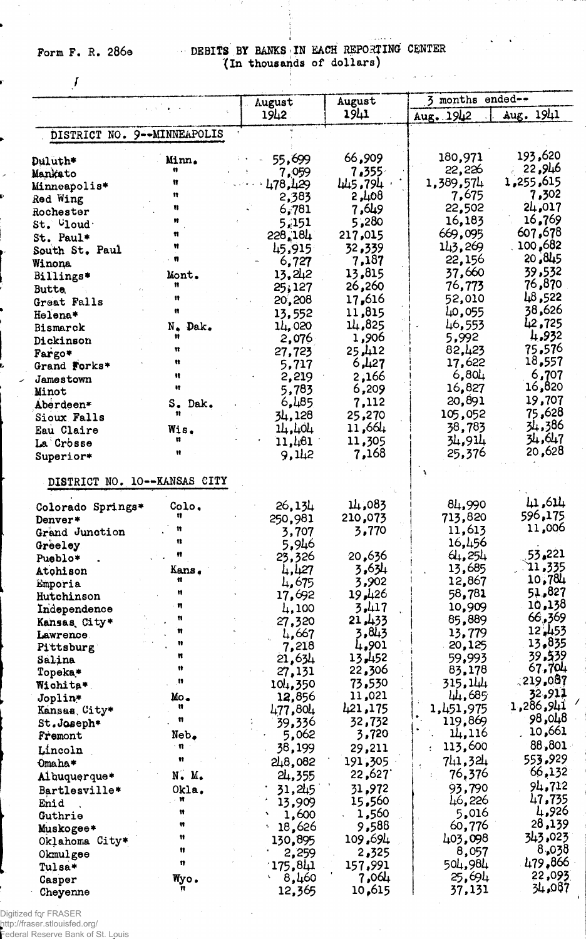# Form F. R. 286e DEBITS BY BANKS IN EACH REPORTING CENTER (In thousands of dollars)

 $\sqrt{2}$  .

الأرباب

 $\sim$   $\sim$ 

والمراجين

 $\frac{1}{\sqrt{2}}$ 

 $\sqrt{2}$ 

|                       |                                | August           | August           | 3 months ended--  |                   |
|-----------------------|--------------------------------|------------------|------------------|-------------------|-------------------|
|                       |                                | 1942             | 1941             | Aug. 1942         | Aug. 1941         |
|                       | DISTRICT NO. 9--MINNEAPOLIS    |                  |                  |                   |                   |
|                       |                                | 55,699           | 66,909           | 180,971           | 193,620           |
| Duluth*<br>Mankato    | Minn.<br>11                    | 7,059            | 7.355            | 22,226            | 22,946            |
| Minneapolis*          |                                | 478,429          | 445,794          | 1,389,574         | 1,255,615         |
| Red Wing              | n                              | 2,383            | 2,408            | 7,675             | 7,302             |
| Rochester             | n                              | 6,781            | 49.7             | 22,502            | 24,017            |
| $St.$ $^\circ$ loud   |                                | 5,151            | 5,280            | 16,183            | 16,769            |
| St. Paul*             | Ħ                              | 228,184          | 217,015          | 669,095           | 607,678           |
| South St. Paul        | Ħ                              | 45,915           | 32,339           | 143,269           | 100,682           |
| Winona                |                                | 6,727            | 7,187            | 22,156            | 20,845            |
| Billings*             | Mont.                          | 13,242           | 13,815           | 37,660            | 39,532            |
| Butte,                | Ħ                              | 25,127           | 26,260           | 76,773            | 76,870            |
| Great Falls           | 11                             | 20,208           | 17,616           | 52,010            | 48,522            |
| Helena*               | Ħ                              | 13,552           | 11,815           | 40,055            | 38,626            |
| Bismarck              | N. Dak.<br>Ħ                   | 14,020           | 14,825           | 46,553            | 42,725<br>4,932   |
| Dickinson             | Ħ                              | 2,076            | 1,906            | 5,992<br>82,423   | 75,576            |
| Fargo*                | u                              | 27,723           | 25, 112<br>6,427 | 17,622            | 18,557            |
| Grand Forks*          | Ħ                              | 5,717<br>2,219   | 2,166            | 6,804             | 6,707             |
| Jamestown             | łł.                            | 5,783            | 6,209            | 16,827            | 16,820            |
| Minot<br>Aberdeen*    | S. Dak.                        | 6,485            | 7,112            | 20,891            | 19,707            |
| Sioux Falls           | 11                             | 34,128           | 25,270           | 105,052           | 75,628            |
| Eau Claire            | Wis.                           | 14,404           | 11,664           | 38,783            | 34,386            |
| La Crosse             | u                              | 11,461           | 11,305           | 34,914            | 34,647            |
| Superior*             | Ħ                              | 9,112            | 7,168            | 25,376            | 20,628            |
|                       |                                |                  |                  |                   |                   |
|                       | DISTRICT NO. 10 -- KANSAS CITY |                  |                  |                   |                   |
| Colorado Springs*     | Colo.                          | 26,134           | 14,083           | 84,990            | 41,614            |
| Denver*               |                                | 250,981          | 210,073          | 713,820           | 596,175           |
| Grand Junction        |                                | 3,707            | 3,770            | 11,613            | 11,006            |
| Greeley               | n                              | 5,946            |                  | 16,456            |                   |
| Pueblo*               | Ħ                              | 23,326           | 20,636           | 64,254            | 53.221            |
| Atohison              | Kans.<br>Ħ                     | 4,427            | 3.634            | 13,685            | 11,335<br>10,784  |
| Emporia               | 11                             | 4,675            | 3,902            | 12,867            | 51,827            |
| Hutchinson            | n                              | 17,692           | 19,426<br>3.417  | 58,781<br>10,909  | 10,138            |
| Independence          | Ħ                              | 4,100            | 21, 433          | 85,889            | 66,369            |
| Kansas City*          | n                              | 27,320<br>4,667  | 3.843            | 13,779            | 12, 453           |
| Lawrence<br>Pittsburg | Ħ                              | 7,218            | 4,901            | 20,125            | 13,835            |
| Salina                | Ħ                              | 21,634           | 13,452           | 59,993            | 39.539            |
| Topeka*               | Ħ                              | 27,131           | 22,306           | 83,178            | 67.704            |
| Wichita*              | n                              | 104,350          | 73,530           | 315 <b>,</b> 144  | (219, 087)        |
| Joplin*               | Mo.                            | 12,856           | 11,021           | 44,685            | 32,911            |
| Kansas, City*         | u                              | 477,804          | 421, 175         | 1,451,975         | 1,286,941         |
| St.Joseph*            | n                              | 39,336           | 32,732           | 119,869           | 98,048            |
| Fremont               | Neb.                           | 5,062            | 3,720            | 14,116            | 10,661            |
| Lincoln               | √ ¶t                           | 38,199           | 29,211           | 113,600           | 88,801            |
| Omaha*                | Ħ                              | 248,082          | 191,305          | 741,324           | 553.929<br>66,132 |
| Albuquerque*          | N. M.                          | 24,355           | 22,627           | 76,376            |                   |
| Bartlesville*         | Okla.<br>Ħ                     | 31,245           | 31,972           | 93,790            | 94,712<br>47,735  |
| Enid                  | m                              | 13,909           | 15,560           | 46,226            | 4,926             |
| Guthrie               | Ħ                              | 1,600            | 1,560            | 5,016             | 28,139            |
| Muskogee*             | n                              | 18,626           | 9,588<br>109,694 | 60,776<br>403,098 | 343.023           |
| Oklahoma City*        | n                              | 130,895<br>2,259 | 2,325            | 8,057             | 8,038             |
| Okmulgee<br>Tulsa*    | n                              | 175,841          | 157,991          | 504,984           | 479.866           |
| Casper                | Wyo.                           | 8,460            | 7,064            | 25,694            | 22,093            |
| Cheyenne              |                                | 12,365           | 10,615           | 37,131            | 34,087            |
|                       |                                |                  |                  |                   |                   |

.<br>Digitized for FRASER<br>Federal Reserve Bank of St. Louis